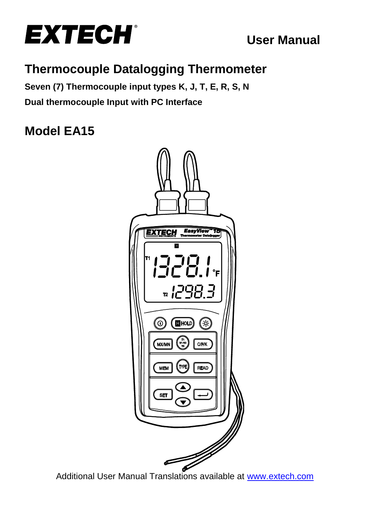

# **User Manual**

# **Thermocouple Datalogging Thermometer**

**Seven (7) Thermocouple input types K, J, T, E, R, S, N Dual thermocouple Input with PC Interface**

# **Model EA15**



Additional User Manual Translations available at [www.extech.com](http://www.extech.com/)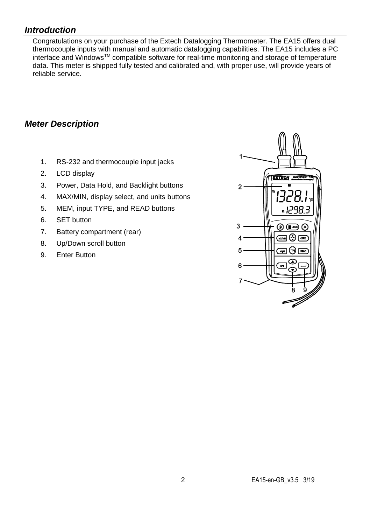### *Introduction*

Congratulations on your purchase of the Extech Datalogging Thermometer. The EA15 offers dual thermocouple inputs with manual and automatic datalogging capabilities. The EA15 includes a PC interface and WindowsTM compatible software for real-time monitoring and storage of temperature data. This meter is shipped fully tested and calibrated and, with proper use, will provide years of reliable service.

### *Meter Description*

- 1. RS-232 and thermocouple input jacks
- 2. LCD display
- 3. Power, Data Hold, and Backlight buttons
- 4. MAX/MIN, display select, and units buttons
- 5. MEM, input TYPE, and READ buttons
- 6. SET button
- 7. Battery compartment (rear)
- 8. Up/Down scroll button
- 9. Enter Button

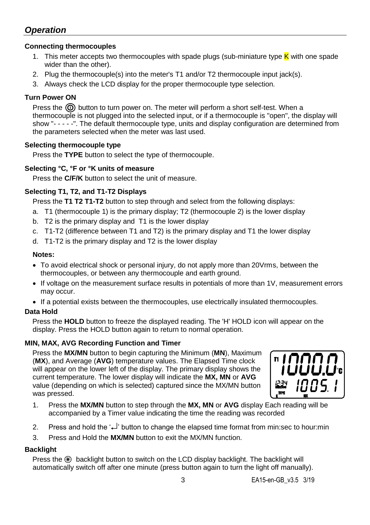### *Operation*

#### **Connecting thermocouples**

- 1. This meter accepts two thermocouples with spade plugs (sub-miniature type K with one spade wider than the other).
- 2. Plug the thermocouple(s) into the meter's T1 and/or T2 thermocouple input jack(s).
- 3. Always check the LCD display for the proper thermocouple type selection.

#### **Turn Power ON**

Press the  $\circledR$  button to turn power on. The meter will perform a short self-test. When a thermocouple is not plugged into the selected input, or if a thermocouple is "open", the display will show "- - - - -". The default thermocouple type, units and display configuration are determined from the parameters selected when the meter was last used.

#### **Selecting thermocouple type**

Press the **TYPE** button to select the type of thermocouple.

#### **Selecting °C, °F or °K units of measure**

Press the **C/F/K** button to select the unit of measure.

#### **Selecting T1, T2, and T1-T2 Displays**

Press the **T1 T2 T1-T2** button to step through and select from the following displays:

- a. T1 (thermocouple 1) is the primary display; T2 (thermocouple 2) is the lower display
- b. T2 is the primary display and T1 is the lower display
- c. T1-T2 (difference between T1 and T2) is the primary display and T1 the lower display
- d. T1-T2 is the primary display and T2 is the lower display

#### **Notes:**

- To avoid electrical shock or personal injury, do not apply more than 20Vrms, between the thermocouples, or between any thermocouple and earth ground.
- If voltage on the measurement surface results in potentials of more than 1V, measurement errors may occur.
- If a potential exists between the thermocouples, use electrically insulated thermocouples.

#### **Data Hold**

Press the **HOLD** button to freeze the displayed reading. The 'H' HOLD icon will appear on the display. Press the HOLD button again to return to normal operation.

#### **MIN, MAX, AVG Recording Function and Timer**

Press the **MX/MN** button to begin capturing the Minimum (**MN**), Maximum (**MX**), and Average (**AVG**) temperature values. The Elapsed Time clock will appear on the lower left of the display. The primary display shows the current temperature. The lower display will indicate the **MX, MN** or **AVG** value (depending on which is selected) captured since the MX/MN button was pressed.



- 1. Press the **MX/MN** button to step through the **MX, MN** or **AVG** display Each reading will be accompanied by a Timer value indicating the time the reading was recorded
- 2. Press and hold the  $\leftarrow$  button to change the elapsed time format from min:sec to hour:min
- 3. Press and Hold the **MX/MN** button to exit the MX/MN function.

#### **Backlight**

Press the  $\circledast$  backlight button to switch on the LCD display backlight. The backlight will automatically switch off after one minute (press button again to turn the light off manually).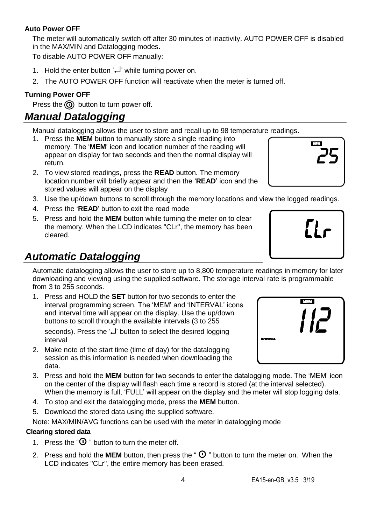#### **Auto Power OFF**

The meter will automatically switch off after 30 minutes of inactivity. AUTO POWER OFF is disabled in the MAX/MIN and Datalogging modes.

To disable AUTO POWER OFF manually:

- 1. Hold the enter button  $\downarrow$  while turning power on.
- 2. The AUTO POWER OFF function will reactivate when the meter is turned off.

#### **Turning Power OFF**

Press the  $\circledcirc$  button to turn power off.

## *Manual Datalogging*

Manual datalogging allows the user to store and recall up to 98 temperature readings.

- 1. Press the **MEM** button to manually store a single reading into memory. The '**MEM**' icon and location number of the reading will appear on display for two seconds and then the normal display will return.
- 2. To view stored readings, press the **READ** button. The memory location number will briefly appear and then the '**READ**' icon and the stored values will appear on the display
- 3. Use the up/down buttons to scroll through the memory locations and view the logged readings.
- 4. Press the '**READ**' button to exit the read mode
- 5. Press and hold the **MEM** button while turning the meter on to clear the memory. When the LCD indicates "CLr", the memory has been cleared.

# *Automatic Datalogging*

Automatic datalogging allows the user to store up to 8,800 temperature readings in memory for later downloading and viewing using the supplied software. The storage interval rate is programmable from 3 to 255 seconds.

1. Press and HOLD the **SET** button for two seconds to enter the interval programming screen. The 'MEM' and 'INTERVAL' icons and interval time will appear on the display. Use the up/down buttons to scroll through the available intervals (3 to 255

seconds). Press the ' $\downarrow$ ' button to select the desired logging interval

- 2. Make note of the start time (time of day) for the datalogging session as this information is needed when downloading the data.
- 3. Press and hold the **MEM** button for two seconds to enter the datalogging mode. The 'MEM' icon on the center of the display will flash each time a record is stored (at the interval selected). When the memory is full, 'FULL' will appear on the display and the meter will stop logging data.
- 4. To stop and exit the datalogging mode, press the **MEM** button.
- 5. Download the stored data using the supplied software.

Note: MAX/MIN/AVG functions can be used with the meter in datalogging mode

#### **Clearing stored data**

- 1. Press the " $\Phi$ " button to turn the meter off.
- 2. Press and hold the **MEM** button, then press the " $\Phi$ " button to turn the meter on. When the LCD indicates "CLr", the entire memory has been erased.





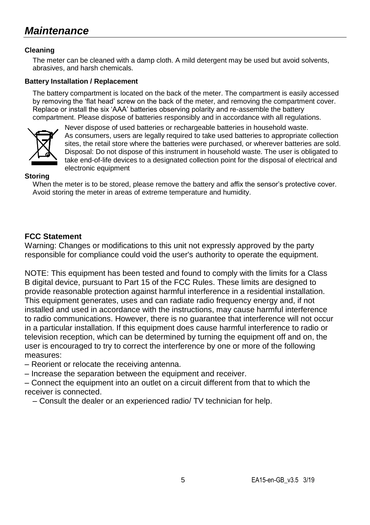# *Maintenance*

#### **Cleaning**

The meter can be cleaned with a damp cloth. A mild detergent may be used but avoid solvents, abrasives, and harsh chemicals.

#### **Battery Installation / Replacement**

The battery compartment is located on the back of the meter. The compartment is easily accessed by removing the 'flat head' screw on the back of the meter, and removing the compartment cover. Replace or install the six 'AAA' batteries observing polarity and re-assemble the battery compartment. Please dispose of batteries responsibly and in accordance with all regulations.



Never dispose of used batteries or rechargeable batteries in household waste. As consumers, users are legally required to take used batteries to appropriate collection sites, the retail store where the batteries were purchased, or wherever batteries are sold. Disposal: Do not dispose of this instrument in household waste. The user is obligated to take end-of-life devices to a designated collection point for the disposal of electrical and electronic equipment

#### **Storing**

When the meter is to be stored, please remove the battery and affix the sensor's protective cover. Avoid storing the meter in areas of extreme temperature and humidity.

#### **FCC Statement**

Warning: Changes or modifications to this unit not expressly approved by the party responsible for compliance could void the user's authority to operate the equipment.

NOTE: This equipment has been tested and found to comply with the limits for a Class B digital device, pursuant to Part 15 of the FCC Rules. These limits are designed to provide reasonable protection against harmful interference in a residential installation. This equipment generates, uses and can radiate radio frequency energy and, if not installed and used in accordance with the instructions, may cause harmful interference to radio communications. However, there is no guarantee that interference will not occur in a particular installation. If this equipment does cause harmful interference to radio or television reception, which can be determined by turning the equipment off and on, the user is encouraged to try to correct the interference by one or more of the following measures:

– Reorient or relocate the receiving antenna.

– Increase the separation between the equipment and receiver.

– Connect the equipment into an outlet on a circuit different from that to which the receiver is connected.

– Consult the dealer or an experienced radio/ TV technician for help.